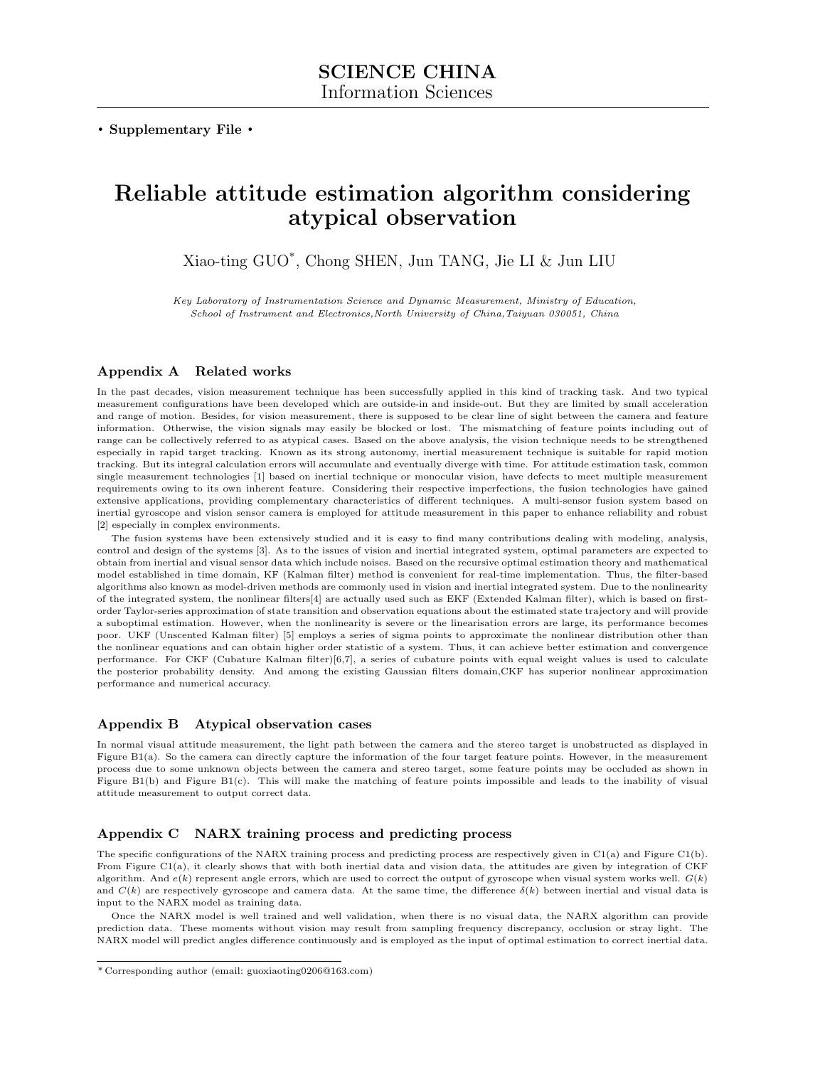. Supplementary File .

# Reliable attitude estimation algorithm considering atypical observation

Xiao-ting GUO\* , Chong SHEN, Jun TANG, Jie LI & Jun LIU

Key Laboratory of Instrumentation Science and Dynamic Measurement, Ministry of Education, School of Instrument and Electronics,North University of China,Taiyuan 030051, China

### Appendix A Related works

In the past decades, vision measurement technique has been successfully applied in this kind of tracking task. And two typical measurement configurations have been developed which are outside-in and inside-out. But they are limited by small acceleration and range of motion. Besides, for vision measurement, there is supposed to be clear line of sight between the camera and feature information. Otherwise, the vision signals may easily be blocked or lost. The mismatching of feature points including out of range can be collectively referred to as atypical cases. Based on the above analysis, the vision technique needs to be strengthened especially in rapid target tracking. Known as its strong autonomy, inertial measurement technique is suitable for rapid motion tracking. But its integral calculation errors will accumulate and eventually diverge with time. For attitude estimation task, common single measurement technologies [1] based on inertial technique or monocular vision, have defects to meet multiple measurement requirements owing to its own inherent feature. Considering their respective imperfections, the fusion technologies have gained extensive applications, providing complementary characteristics of different techniques. A multi-sensor fusion system based on inertial gyroscope and vision sensor camera is employed for attitude measurement in this paper to enhance reliability and robust [2] especially in complex environments.

The fusion systems have been extensively studied and it is easy to find many contributions dealing with modeling, analysis, control and design of the systems [3]. As to the issues of vision and inertial integrated system, optimal parameters are expected to obtain from inertial and visual sensor data which include noises. Based on the recursive optimal estimation theory and mathematical model established in time domain, KF (Kalman filter) method is convenient for real-time implementation. Thus, the filter-based algorithms also known as model-driven methods are commonly used in vision and inertial integrated system. Due to the nonlinearity of the integrated system, the nonlinear filters[4] are actually used such as EKF (Extended Kalman filter), which is based on firstorder Taylor-series approximation of state transition and observation equations about the estimated state trajectory and will provide a suboptimal estimation. However, when the nonlinearity is severe or the linearisation errors are large, its performance becomes poor. UKF (Unscented Kalman filter) [5] employs a series of sigma points to approximate the nonlinear distribution other than the nonlinear equations and can obtain higher order statistic of a system. Thus, it can achieve better estimation and convergence performance. For CKF (Cubature Kalman filter)[6,7], a series of cubature points with equal weight values is used to calculate the posterior probability density. And among the existing Gaussian filters domain,CKF has superior nonlinear approximation performance and numerical accuracy.

#### Appendix B Atypical observation cases

In normal visual attitude measurement, the light path between the camera and the stereo target is unobstructed as displayed in Figure B1(a). So the camera can directly capture the information of the four target feature points. However, in the measurement process due to some unknown objects between the camera and stereo target, some feature points may be occluded as shown in Figure B1(b) and Figure B1(c). This will make the matching of feature points impossible and leads to the inability of visual attitude measurement to output correct data.

## Appendix C NARX training process and predicting process

The specific configurations of the NARX training process and predicting process are respectively given in C1(a) and Figure C1(b). From Figure C1(a), it clearly shows that with both inertial data and vision data, the attitudes are given by integration of CKF algorithm. And  $e(k)$  represent angle errors, which are used to correct the output of gyroscope when visual system works well.  $G(k)$ and  $C(k)$  are respectively gyroscope and camera data. At the same time, the difference  $\delta(k)$  between inertial and visual data is input to the NARX model as training data.

Once the NARX model is well trained and well validation, when there is no visual data, the NARX algorithm can provide prediction data. These moments without vision may result from sampling frequency discrepancy, occlusion or stray light. The NARX model will predict angles difference continuously and is employed as the input of optimal estimation to correct inertial data.

<sup>\*</sup> Corresponding author (email: guoxiaoting0206@163.com)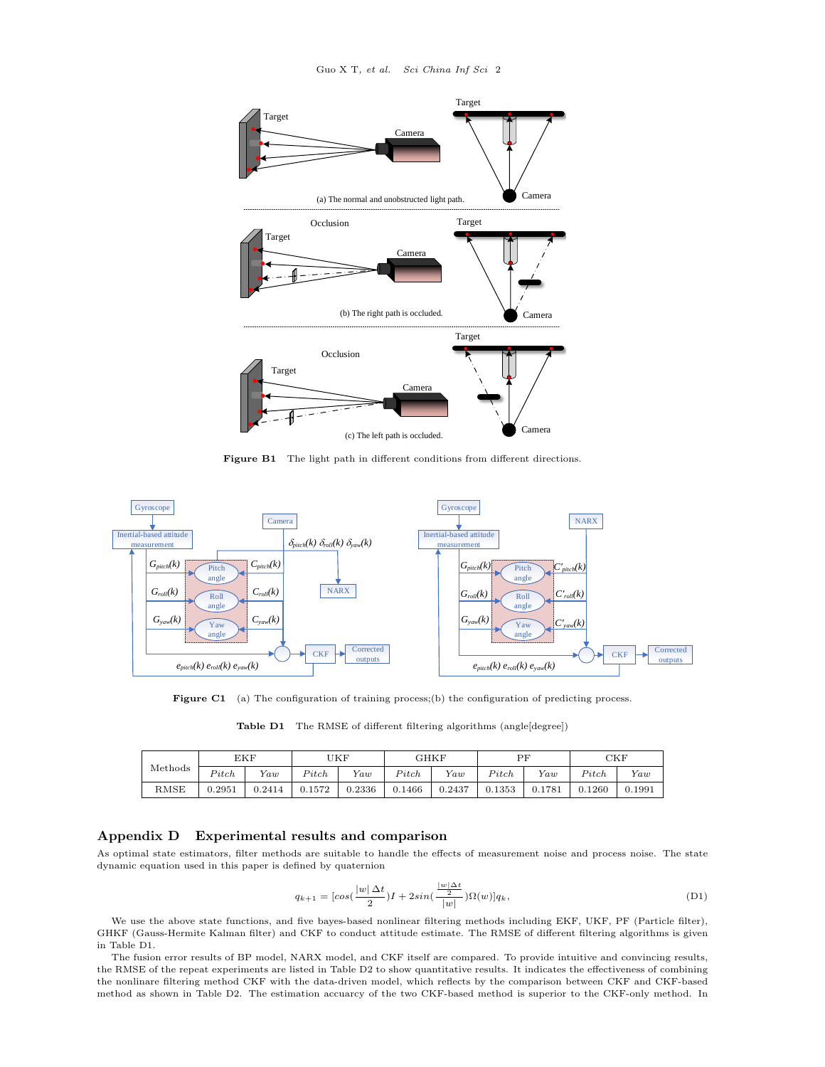

Figure B1 The light path in different conditions from different directions.



Figure C1 (a) The configuration of training process;(b) the configuration of predicting process.

|  | <b>Table D1</b> The RMSE of different filtering algorithms (angle[degree]) |  |  |  |  |  |  |
|--|----------------------------------------------------------------------------|--|--|--|--|--|--|
|--|----------------------------------------------------------------------------|--|--|--|--|--|--|

|                                                                                                               | EKF         |        | 'JKF   |        | GHKF   |        | ΡF     |        | CKF    |          |
|---------------------------------------------------------------------------------------------------------------|-------------|--------|--------|--------|--------|--------|--------|--------|--------|----------|
| $\operatorname*{Methods}% \left( \mathcal{N}\right) \times\mathcal{N}_{\mathcal{N}}\left( \mathcal{N}\right)$ | Pitch       | Yaw    | Pitch  | Var    | Pitch  | Yaw    | Pitch  | Var    | Pitch  | $V_{aw}$ |
| RMSE                                                                                                          | $_{0.2951}$ | 0.2414 | 0.1572 | 0.2336 | 0.1466 | 0.2437 | 0.1353 | 0.1781 | 0.1260 | 0.1991   |

## Appendix D Experimental results and comparison

As optimal state estimators, filter methods are suitable to handle the effects of measurement noise and process noise. The state dynamic equation used in this paper is defined by quaternion

$$
q_{k+1} = \left[\cos\left(\frac{|w| \Delta t}{2}\right)I + 2\sin\left(\frac{\frac{|w| \Delta t}{2}}{|w|}\right)\Omega(w)\right]q_k,\tag{D1}
$$

We use the above state functions, and five bayes-based nonlinear filtering methods including EKF, UKF, PF (Particle filter), GHKF (Gauss-Hermite Kalman filter) and CKF to conduct attitude estimate. The RMSE of different filtering algorithms is given in Table D1.

The fusion error results of BP model, NARX model, and CKF itself are compared. To provide intuitive and convincing results, the RMSE of the repeat experiments are listed in Table D2 to show quantitative results. It indicates the effectiveness of combining the nonlinare filtering method CKF with the data-driven model, which reflects by the comparison between CKF and CKF-based method as shown in Table D2. The estimation accuarcy of the two CKF-based method is superior to the CKF-only method. In